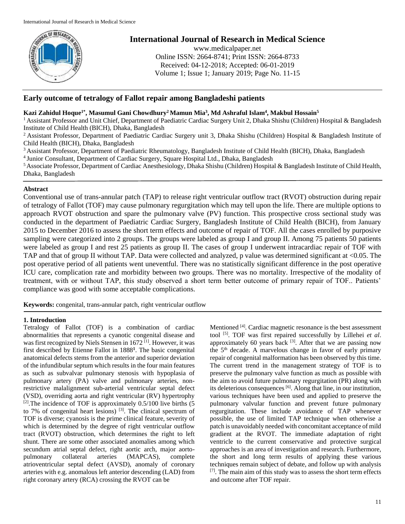

# **International Journal of Research in Medical Science**

www.medicalpaper.net Online ISSN: 2664-8741; Print ISSN: 2664-8733 Received: 04-12-2018; Accepted: 06-01-2019 Volume 1; Issue 1; January 2019; Page No. 11-15

## **Early outcome of tetralogy of Fallot repair among Bangladeshi patients**

## **Kazi Zahidul Hoque1\* , Masumul Gani Chowdhury<sup>2</sup>Mamun Mia<sup>3</sup> , Md Ashraful Islam<sup>4</sup> , Makbul Hossain<sup>5</sup>**

<sup>1</sup> Assistant Professor and Unit Chief, Department of Paediatric Cardiac Surgery Unit 2, Dhaka Shishu (Children) Hospital & Bangladesh Institute of Child Health (BICH), Dhaka, Bangladesh

<sup>2</sup> Assistant Professor, Department of Paediatric Cardiac Surgery unit 3, Dhaka Shishu (Children) Hospital & Bangladesh Institute of Child Health (BICH), Dhaka, Bangladesh

<sup>3</sup> Assistant Professor, Department of Paediatric Rheumatology, Bangladesh Institute of Child Health (BICH), Dhaka, Bangladesh

4 Junior Consultant, Department of Cardiac Surgery, Square Hospital Ltd., Dhaka, Bangladesh

<sup>5</sup>Associate Professor, Department of Cardiac Anesthesiology, Dhaka Shishu (Children) Hospital & Bangladesh Institute of Child Health, Dhaka, Bangladesh

### **Abstract**

Conventional use of trans-annular patch (TAP) to release right ventricular outflow tract (RVOT) obstruction during repair of tetralogy of Fallot (TOF) may cause pulmonary regurgitation which may tell upon the life. There are multiple options to approach RVOT obstruction and spare the pulmonary valve (PV) function. This prospective cross sectional study was conducted in the department of Paediatric Cardiac Surgery, Bangladesh Institute of Child Health (BICH), from January 2015 to December 2016 to assess the short term effects and outcome of repair of TOF. All the cases enrolled by purposive sampling were categorized into 2 groups. The groups were labeled as group I and group II. Among 75 patients 50 patients were labeled as group I and rest 25 patients as group II. The cases of group I underwent intracardiac repair of TOF with TAP and that of group II without TAP. Data were collected and analyzed, p value was determined significant at <0.05. The post operative period of all patients went uneventful. There was no statistically significant difference in the post operative ICU care, complication rate and morbidity between two groups. There was no mortality. Irrespective of the modality of treatment, with or without TAP, this study observed a short term better outcome of primary repair of TOF.. Patients' compliance was good with some acceptable complications.

**Keywords:** congenital, trans-annular patch, right ventricular outflow

## **1. Introduction**

Tetralogy of Fallot (TOF) is a combination of cardiac abnormalities that represents a cyanotic congenital disease and was first recognized by Niels Stensen in 1672<sup>[1]</sup>. However, it was first described by Etienne Fallot in 1888**<sup>1</sup>** . The basic congenital anatomical defects stems from the anterior and superior deviation of the infundibular septum which results in the four main features as such as subvalvar pulmonary stenosis with hypoplasia of pulmonary artery (PA) valve and pulmonary arteries, nonrestrictive malalignment sub-arterial ventricular septal defect (VSD), overriding aorta and right ventricular (RV) hypertrophy  $[2]$ . The incidence of TOF is approximately 0.5/100 live births (5) to 7% of congenital heart lesions)  $^{[3]}$ . The clinical spectrum of TOF is diverse; cyanosis is the prime clinical feature, severity of which is determined by the degree of right ventricular outflow tract (RVOT) obstruction, which determines the right to left shunt. There are some other associated anomalies among which secundum atrial septal defect, right aortic arch, major aortopulmonary collateral arteries (MAPCAS), complete atrioventricular septal defect (AVSD), anomaly of coronary arteries with e.g. anomalous left anterior descending (LAD) from right coronary artery (RCA) crossing the RVOT can be

Mentioned <sup>[4]</sup>. Cardiac magnetic resonance is the best assessment tool [5]. TOF was first repaired successfully by Lillehei *et al*. approximately 60 years back  $[3]$ . After that we are passing now the  $5<sup>th</sup>$  decade. A marvelous change in favor of early primary repair of congenital malformation has been observed by this time. The current trend in the management strategy of TOF is to preserve the pulmonary valve function as much as possible with the aim to avoid future pulmonary regurgitation (PR) along with its deleterious consequences [6]. Along that line, in our institution, various techniques have been used and applied to preserve the pulmonary valvular function and prevent future pulmonary regurgitation. These include avoidance of TAP whenever possible, the use of limited TAP technique when otherwise a patch is unavoidably needed with concomitant acceptance of mild gradient at the RVOT. The immediate adaptation of right ventricle to the current conservative and protective surgical approaches is an area of investigation and research. Furthermore, the short and long term results of applying these various techniques remain subject of debate, and follow up with analysis  $[7]$ . The main aim of this study was to assess the short term effects and outcome after TOF repair.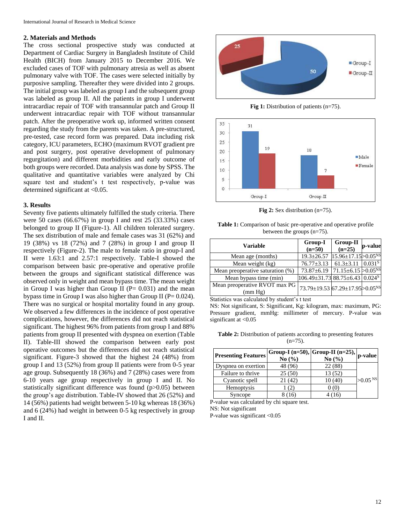#### **2. Materials and Methods**

The cross sectional prospective study was conducted at Department of Cardiac Surgery in Bangladesh Institute of Child Health (BICH) from January 2015 to December 2016. We excluded cases of TOF with pulmonary atresia as well as absent pulmonary valve with TOF. The cases were selected initially by purposive sampling. Thereafter they were divided into 2 groups. The initial group was labeled as group I and the subsequent group was labeled as group II. All the patients in group I underwent intracardiac repair of TOF with transannular patch and Group II underwent intracardiac repair with TOF without transannular patch. After the preoperative work up, informed written consent regarding the study from the parents was taken. A pre-structured, pre-tested, case record form was prepared. Data including risk category, ICU parameters, ECHO (maximum RVOT gradient pre and post surgery, post operative development of pulmonary regurgitation) and different morbidities and early outcome of both groups were recorded. Data analysis was done by SPSS. The qualitative and quantitative variables were analyzed by Chi square test and student's t test respectively, p-value was determined significant at <0.05.

#### **3. Results**

Seventy five patients ultimately fulfilled the study criteria. There were 50 cases (66.67%) in group I and rest 25 (33.33%) cases belonged to group II (Figure-1). All children tolerated surgery. The sex distribution of male and female cases was 31 (62%) and 19 (38%) vs 18 (72%) and 7 (28%) in group I and group II respectively (Figure-2). The male to female ratio in group-I and II were 1.63:1 and 2.57:1 respectively. Table-I showed the comparison between basic pre-operative and operative profile between the groups and significant statistical difference was observed only in weight and mean bypass time. The mean weight in Group I was higher than Group II ( $P = 0.031$ ) and the mean bypass time in Group I was also higher than Group II ( $P = 0.024$ ). There was no surgical or hospital mortality found in any group. We observed a few differences in the incidence of post operative complications, however, the differences did not reach statistical significant. The highest 96% from patients from group I and 88% patients from group II presented with dyspnea on exertion (Table II). Table-III showed the comparison between early post operative outcomes but the differences did not reach statistical significant. Figure-3 showed that the highest 24 (48%) from group I and 13 (52%) from group II patients were from 0-5 year age group. Subsequently 18 (36%) and 7 (28%) cases were from 6-10 years age group respectively in group I and II. No statistically significant difference was found (p>0.05) between the group's age distribution. Table-IV showed that 26 (52%) and 14 (56%) patients had weight between 5-10 kg whereas 18 (36%) and 6 (24%) had weight in between 0-5 kg respectively in group I and II.



**Fig 1:** Distribution of patients (n=75).



**Fig 2:** Sex distribution (n=75).

**Table 1:** Comparison of basic pre-operative and operative profile between the groups (n=75).

| <b>Variable</b>                          | Group-I<br>$(n=50)$                        | Group-II<br>$(n=25)$               | p-value |
|------------------------------------------|--------------------------------------------|------------------------------------|---------|
| Mean age (months)                        | $19.3 \pm 26.57$                           | $15.96 \pm 17.15 > 0.05^{NS}$      |         |
| Mean weight (kg)                         | $76.77 \pm 3.13$                           | $61.3 \pm 3.11$ 0.031 <sup>S</sup> |         |
| Mean preoperative saturation (%)         | $73.87 \pm 6.19$                           | $71.15 \pm 6.15 > 0.05^{NS}$       |         |
| Mean bypass time (min)                   | $106.49 \pm 31.7388.75 \pm 6.4300248$      |                                    |         |
| Mean preoperative RVOT max PG<br>(mm Hg) | 73.79±19.53 67.29±17.95>0.05 <sup>NS</sup> |                                    |         |
|                                          |                                            |                                    |         |

Statistics was calculated by student's t test

NS: Not significant, S: Significant, Kg: kilogram, max: maximum, PG: Pressure gradient, mmHg: millimeter of mercury. P-value was significant at <0.05

**Table 2:** Distribution of patients according to presenting features  $(n=75)$ .

| <b>Presenting Features</b> | No $(\% )$ | $\sqrt{\text{Group-I (n=50)}\text{Group-II (n=25)}}\text{  p-value }$<br>No $(\% )$ |                       |
|----------------------------|------------|-------------------------------------------------------------------------------------|-----------------------|
| Dyspnea on exertion        | 48 (96)    | 22(88)                                                                              |                       |
| Failure to thrive          | 25(50)     | 13 (52)                                                                             |                       |
| Cyanotic spell             | 21(42)     | 10(40)                                                                              | $>0.05$ <sup>NS</sup> |
| Hemoptysis                 | (2)        | 0(0)                                                                                |                       |
| Syncope                    | 8(16)      | 4 (16)                                                                              |                       |

P-value was calculated by chi square test.

NS: Not significant

P-value was significant <0.05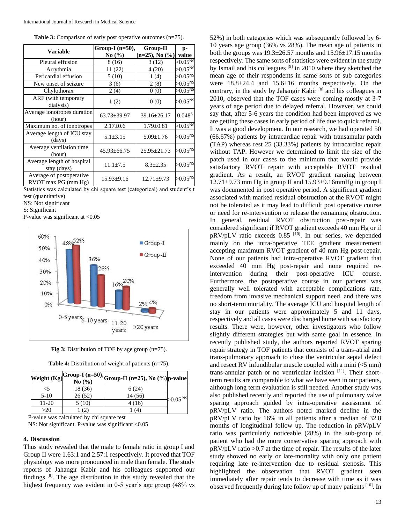| <b>Table 3:</b> Comparison of early post operative outcomes $(n=75)$ . |  |  |
|------------------------------------------------------------------------|--|--|
|                                                                        |  |  |

| Variable                                        | Group-I $(n=50)$ ,<br>No(%) | Group-II<br>$(n=25)$ , No $(\%)$ | p-<br>value                 |
|-------------------------------------------------|-----------------------------|----------------------------------|-----------------------------|
| Pleural effusion                                | 8 (16)                      | 3(12)                            | $>0.05^{N_{\rm s}}$         |
| Arrythmia                                       | 11 (22)                     | 4(20)                            | $>0.05^{N_{\rm s}}$         |
| Pericardial effusion                            | 5 (10)                      | 1(4)                             | $>0.05^{N5}$                |
| New onset of seizure                            | 3(6)                        | 2(8)                             | $>0.05^{\overline{\rm NS}}$ |
| Chylothorax                                     | 2(4)                        | 0(0)                             | $>0.05^{\overline{\rm NS}}$ |
| ARF (with temporary<br>dialysis)                | 1(2)                        | 0(0)                             | $>0.05^{NS}$                |
| Average ionotropes duration<br>(hour)           | $63.73 \pm 39.97$           | $39.16 \pm 26.17$                | 0.048 <sup>S</sup>          |
| Maximum no. of ionotropes                       | $2.17 \pm 0.6$              | $1.79 \pm 0.81$                  | $>0.05^{\rm NS}$            |
| Average length of ICU stay<br>(days)            | $5.1 \pm 3.15$              | $5.09 \pm 1.76$                  | $>0.05^{NS}$                |
| Average ventilation time<br>(hour)              | $45.93 \pm 66.75$           | $25.95 \pm 21.73$                | $>0.05^{NS}$                |
| Average length of hospital<br>stay (days)       | $11.1 \pm 7.5$              | $8.3 \pm 2.35$                   | $>0.05^{NS}$                |
| Average of postoperative<br>RVOT max PG (mm Hg) | $15.93 \pm 9.16$            | $12.71 \pm 9.73$                 | $>0.05^{NS}$                |

Statistics was calculated by chi square test (categorical) and student's t test (quantitative)

NS: Not significant

S: Significant

P-value was significant at <0.05



| Fig 3: Distribution of TOF by age group $(n=75)$ . |  |
|----------------------------------------------------|--|
|----------------------------------------------------|--|

| <b>Table 4:</b> Distribution of weight of patients $(n=75)$ . |
|---------------------------------------------------------------|
|                                                               |

|         |         | Weight (Kg) Group-I (n=50), Group-II (n=25), No (%) p-value |            |
|---------|---------|-------------------------------------------------------------|------------|
|         | 18 (36) | 6(24)                                                       |            |
| $5-10$  | 26(52)  | 14 (56)                                                     | $>0.05$ NS |
| $11-20$ | 5(10)   | 4 (16)                                                      |            |
| >20     |         | (4)                                                         |            |

P-value was calculated by chi square test NS: Not significant. P-value was significant <0.05

#### **4. Discussion**

Thus study revealed that the male to female ratio in group I and Group II were 1.63:1 and 2.57:1 respectively. It proved that TOF physiology was more pronounced in male than female. The study reports of Jahangir Kabir and his colleagues supported our findings [8] . The age distribution in this study revealed that the highest frequency was evident in 0-5 year's age group (48% vs

52%) in both categories which was subsequently followed by 6- 10 years age group (36% vs 28%). The mean age of patients in both the groups was  $19.3 \pm 26.57$  months and  $15.96 \pm 17.15$  months respectively. The same sorts of statistics were evident in the study by Ismail and his colleagues <sup>[9]</sup> in 2010 where they sketched the mean age of their respondents in same sorts of sub categories were 18.8±24.4 and 15.6±16 months respectively. On the contrary, in the study by Jahangir Kabir<sup>[8]</sup> and his colleagues in 2010, observed that the TOF cases were coming mostly at 3-7 years of age period due to delayed referral. However, we could say that, after 5-6 years the condition had been improved as we are getting these cases in early period of life due to quick referral. It was a good development. In our research, we had operated 50 (66.67%) patients by intracardiac repair with transamular patch (TAP) whereas rest 25 (33.33%) patients by intracardiac repair without TAP. However we determined to limit the size of the patch used in our cases to the minimum that would provide satisfactory RVOT repair with acceptable RVOT residual gradient. As a result, an RVOT gradient ranging between  $12.71\pm9.73$  mm Hg in group II and  $15.93\pm9.16$ mmHg in group I was documented in post operative period. A significant gradient associated with marked residual obstruction at the RVOT might not be tolerated as it may lead to difficult post operative course or need for re-intervention to release the remaining obstruction. In general, residual RVOT obstruction post-repair was considered significant if RVOT gradient exceeds 40 mm Hg or if pRV/pLV ratio exceeds 0.85 <sup>[10]</sup>. In our series, we depended mainly on the intra-operative TEE gradient measurement accepting maximum RVOT gradient of 40 mm Hg post-repair. None of our patients had intra-operative RVOT gradient that exceeded 40 mm Hg post-repair and none required reintervention during their post-operative ICU course. Furthermore, the postoperative course in our patients was generally well tolerated with acceptable complications rate, freedom from invasive mechanical support need, and there was no short-term mortality. The average ICU and hospital length of stay in our patients were approximately 5 and 11 days, respectively and all cases were discharged home with satisfactory results. There were, however, other investigators who follow slightly different strategies but with same goal in essence. In recently published study, the authors reported RVOT sparing repair strategy in TOF patients that consists of a trans-atrial and trans-pulmonary approach to close the ventricular septal defect and resect RV infundibular muscle coupled with a mini (<5 mm) trans-annular patch or no ventricular incision [11]. Their shortterm results are comparable to what we have seen in our patients, although long term evaluation is still needed. Another study was also published recently and reported the use of pulmonary valve sparing approach guided by intra-operative assessment of pRV/pLV ratio. The authors noted marked decline in the pRV/pLV ratio by 16% in all patients after a median of 32.8 months of longitudinal follow up. The reduction in pRV/pLV ratio was particularly noticeable (28%) in the sub-group of patient who had the more conservative sparing approach with pRV/pLV ratio >0.7 at the time of repair. The results of the later study showed no early or late-mortality with only one patient requiring late re-intervention due to residual stenosis. This highlighted the observation that RVOT gradient seen immediately after repair tends to decrease with time as it was observed frequently during late follow up of many patients [10]. In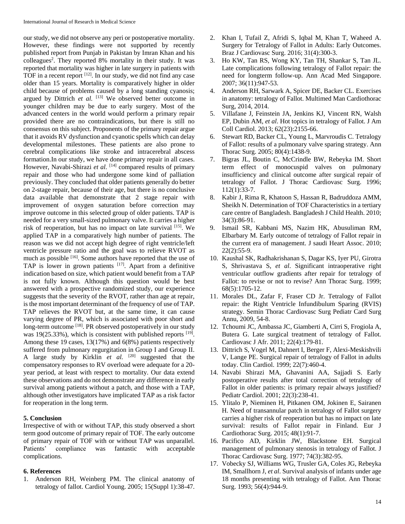our study, we did not observe any peri or postoperative mortality. However, these findings were not supported by recently published report from Punjab in Pakistan by Imran Khan and his colleagues<sup>2</sup>. They reported 8% mortality in their study. It was reported that mortality was higher in late surgery in patients with TOF in a recent report  $[12]$ . In our study, we did not find any case older than 15 years. Mortality is comparatively higher in older child because of problems caused by a long standing cyanosis; argued by Dittrich *et al.* [13] We observed better outcome in younger children may be due to early surgery. Most of the advanced centers in the world would perform a primary repair provided there are no contraindications, but there is still no consensus on this subject. Proponents of the primary repair argue that it avoids RV dysfunction and cyanotic spells which can delay developmental milestones. These patients are also prone to cerebral complications like stroke and intracerebral abscess formation.In our study, we have done primary repair in all cases. However, Navabi-Shirazi et al. [14] compared results of primary repair and those who had undergone some kind of palliation previously. They concluded that older patients generally do better on 2-stage repair, because of their age, but there is no conclusive data available that demonstrate that 2 stage repair with improvement of oxygen saturation before correction may improve outcome in this selected group of older patients. TAP is needed for a very small-sized pulmonary valve. It carries a higher risk of reoperation, but has no impact on late survival [15]. We applied TAP in a comparatively high number of patients. The reason was we did not accept high degree of right ventricle/left ventricle pressure ratio and the goal was to relieve RVOT as much as possible [16]. Some authors have reported that the use of TAP is lower in grown patients  $[17]$ . Apart from a definitive indication based on size, which patient would benefit from a TAP is not fully known. Although this question would be best answered with a prospective randomized study, our experience suggests that the severity of the RVOT, rather than age at repair, is the most important determinant of the frequency of use of TAP. TAP relieves the RVOT but, at the same time, it can cause varying degree of PR, which is associated with poor short and long-term outcome [18]. PR observed postoperatively in our study was  $19(25.33\%)$ , which is consistent with published reports  $^{[19]}$ . Among these 19 cases, 13(17%) and 6(8%) patients respectively suffered from pulmonary regurgitation in Group I and Group II. A large study by Kirklin *et al.* [20] suggested that the compensatory responses to RV overload were adequate for a 20 year period, at least with respect to mortality. Our data extend these observations and do not demonstrate any difference in early survival among patients without a patch, and those with a TAP, although other investigators have implicated TAP as a risk factor for reoperation in the long term.

#### **5. Conclusion**

Irrespective of with or without TAP, this study observed a short term good outcome of primary repair of TOF. The early outcome of primary repair of TOF with or without TAP was unparallel. Patients' compliance was fantastic with acceptable complications.

#### **6. References**

1. Anderson RH, Weinberg PM. The clinical anatomy of tetralogy of fallot. Cardiol Young. 2005; 15(Suppl 1):38-47.

- 2. Khan I, Tufail Z, Afridi S, Iqbal M, Khan T, Waheed A. Surgery for Tetralogy of Fallot in Adults: Early Outcomes. Braz J Cardiovasc Surg. 2016; 31(4):300-3.
- 3. Ho KW, Tan RS, Wong KY, Tan TH, Shankar S, Tan JL. Late complications following tetralogy of Fallot repair: the need for longterm follow-up. Ann Acad Med Singapore. 2007; 36(11):947-53.
- 4. Anderson RH, Sarwark A, Spicer DE, Backer CL. Exercises in anatomy: tetralogy of Fallot. Multimed Man Cardiothorac Surg, 2014, 2014.
- 5. Villafane J, Feinstein JA, Jenkins KJ, Vincent RN, Walsh EP, Dubin AM, *et al*. Hot topics in tetralogy of Fallot. J Am Coll Cardiol. 2013; 62(23):2155-66.
- 6. Stewart RD, Backer CL, Young L, Marvroudis C. Tetralogy of Fallot: results of a pulmonary valve sparing strategy. Ann Thorac Surg. 2005; 80(4):1438-9.
- 7. Bigras JL, Boutin C, McCrindle BW, Rebeyka IM. Short term effect of monocuspid valves on pulmonary insufficiency and clinical outcome after surgical repair of tetralogy of Fallot. J Thorac Cardiovasc Surg. 1996; 112(1):33-7.
- 8. Kabir J, Rima R, Khatoon S, Hassan R, Badruddoza AMM, Sheikh N. Determination of TOF Characteristics in a tertiary care centre of Bangladesh. Bangladesh J Child Health. 2010; 34(3):86-91.
- 9. Ismail SR, Kabbani MS, Nazim HK, Abusuliman RM, Elbarbary M. Early outcome of tetralogy of Fallot repair in the current era of management. J saudi Heart Assoc. 2010; 22(2):55-9.
- 10. Kaushal SK, Radhakrishanan S, Dagar KS, Iyer PU, Girotra S, Shrivastava S, *et al*. Significant intraoperative right ventricular outflow gradients after repair for tetralogy of Fallot: to revise or not to revise? Ann Thorac Surg. 1999; 68(5):1705-12.
- 11. Morales DL, Zafar F, Fraser CD Jr. Tetralogy of Fallot repair: the Right Ventricle Infundibulum Sparing (RVIS) strategy. Semin Thorac Cardiovasc Surg Pediatr Card Surg Annu, 2009, 54-8.
- 12. Tchoumi JC, Ambassa JC, Giamberti A, Cirri S, Frogiola A, Butera G. Late surgical treatment of tetralogy of Fallot. Cardiovasc J Afr. 2011; 22(4):179-81.
- 13. Dittrich S, Vogel M, Dahnert I, Berger F, Alexi-Meskishvili V, Lange PE. Surgical repair of tetralogy of Fallot in adults today. Clin Cardiol. 1999; 22(7):460-4.
- 14. Navabi Shirazi MA, Ghavanini AA, Sajjadi S. Early postoperative results after total correction of tetralogy of Fallot in older patients: is primary repair always justified? Pediatr Cardiol. 2001; 22(3):238-41.
- 15. Ylitalo P, Nieminen H, Pitkanen OM, Jokinen E, Sairanen H. Need of transannular patch in tetralogy of Fallot surgery carries a higher risk of reoperation but has no impact on late survival: results of Fallot repair in Finland. Eur J Cardiothorac Surg. 2015; 48(1):91-7.
- 16. Pacifico AD, Kirklin JW, Blackstone EH. Surgical management of pulmonary stenosis in tetralogy of Fallot. J Thorac Cardiovasc Surg. 1977; 74(3):382-95.
- 17. Vobecky SJ, Williams WG, Trusler GA, Coles JG, Rebeyka IM, Smallhorn J, *et al*. Survival analysis of infants under age 18 months presenting with tetralogy of Fallot. Ann Thorac Surg. 1993; 56(4):944-9.